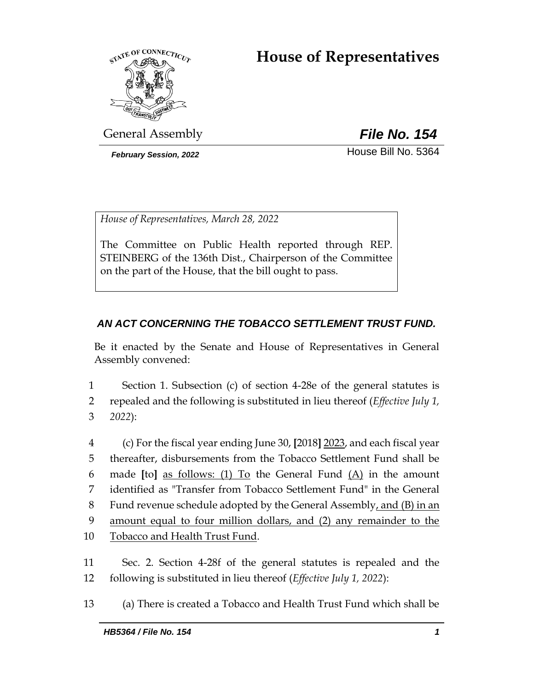# **House of Representatives**



General Assembly *File No. 154*

*February Session, 2022* House Bill No. 5364

*House of Representatives, March 28, 2022*

The Committee on Public Health reported through REP. STEINBERG of the 136th Dist., Chairperson of the Committee on the part of the House, that the bill ought to pass.

# *AN ACT CONCERNING THE TOBACCO SETTLEMENT TRUST FUND.*

Be it enacted by the Senate and House of Representatives in General Assembly convened:

1 Section 1. Subsection (c) of section 4-28e of the general statutes is

2 repealed and the following is substituted in lieu thereof (*Effective July 1,*  3 *2022*):

 (c) For the fiscal year ending June 30, **[**2018**]** 2023, and each fiscal year thereafter, disbursements from the Tobacco Settlement Fund shall be made **[**to**]** as follows: (1) To the General Fund (A) in the amount identified as "Transfer from Tobacco Settlement Fund" in the General Fund revenue schedule adopted by the General Assembly, and (B) in an amount equal to four million dollars, and (2) any remainder to the Tobacco and Health Trust Fund.

11 Sec. 2. Section 4-28f of the general statutes is repealed and the 12 following is substituted in lieu thereof (*Effective July 1, 2022*):

13 (a) There is created a Tobacco and Health Trust Fund which shall be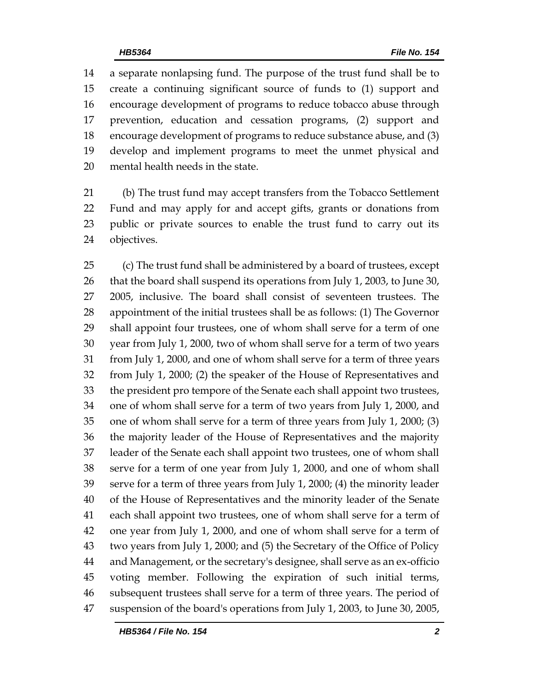a separate nonlapsing fund. The purpose of the trust fund shall be to create a continuing significant source of funds to (1) support and encourage development of programs to reduce tobacco abuse through prevention, education and cessation programs, (2) support and encourage development of programs to reduce substance abuse, and (3) develop and implement programs to meet the unmet physical and mental health needs in the state.

 (b) The trust fund may accept transfers from the Tobacco Settlement Fund and may apply for and accept gifts, grants or donations from public or private sources to enable the trust fund to carry out its objectives.

 (c) The trust fund shall be administered by a board of trustees, except that the board shall suspend its operations from July 1, 2003, to June 30, 2005, inclusive. The board shall consist of seventeen trustees. The appointment of the initial trustees shall be as follows: (1) The Governor shall appoint four trustees, one of whom shall serve for a term of one year from July 1, 2000, two of whom shall serve for a term of two years from July 1, 2000, and one of whom shall serve for a term of three years from July 1, 2000; (2) the speaker of the House of Representatives and the president pro tempore of the Senate each shall appoint two trustees, one of whom shall serve for a term of two years from July 1, 2000, and one of whom shall serve for a term of three years from July 1, 2000; (3) the majority leader of the House of Representatives and the majority leader of the Senate each shall appoint two trustees, one of whom shall serve for a term of one year from July 1, 2000, and one of whom shall serve for a term of three years from July 1, 2000; (4) the minority leader of the House of Representatives and the minority leader of the Senate each shall appoint two trustees, one of whom shall serve for a term of one year from July 1, 2000, and one of whom shall serve for a term of two years from July 1, 2000; and (5) the Secretary of the Office of Policy and Management, or the secretary's designee, shall serve as an ex-officio voting member. Following the expiration of such initial terms, subsequent trustees shall serve for a term of three years. The period of suspension of the board's operations from July 1, 2003, to June 30, 2005,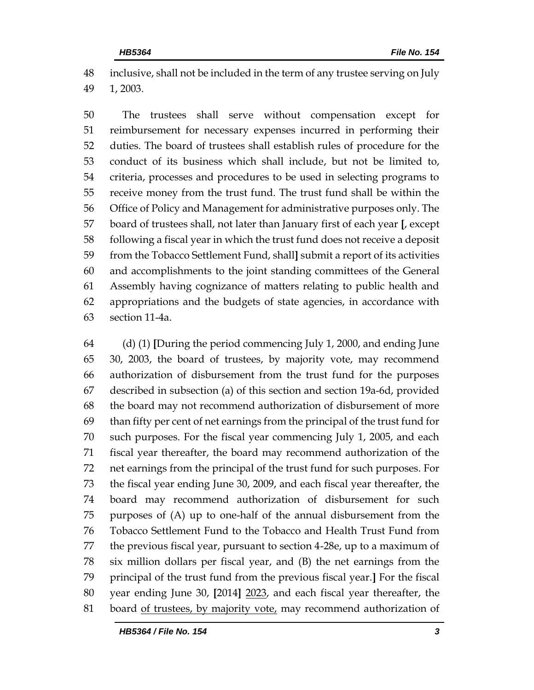inclusive, shall not be included in the term of any trustee serving on July 1, 2003.

 The trustees shall serve without compensation except for reimbursement for necessary expenses incurred in performing their duties. The board of trustees shall establish rules of procedure for the conduct of its business which shall include, but not be limited to, criteria, processes and procedures to be used in selecting programs to receive money from the trust fund. The trust fund shall be within the Office of Policy and Management for administrative purposes only. The board of trustees shall, not later than January first of each year **[**, except following a fiscal year in which the trust fund does not receive a deposit from the Tobacco Settlement Fund, shall**]** submit a report of its activities and accomplishments to the joint standing committees of the General Assembly having cognizance of matters relating to public health and appropriations and the budgets of state agencies, in accordance with section 11-4a.

 (d) (1) **[**During the period commencing July 1, 2000, and ending June 30, 2003, the board of trustees, by majority vote, may recommend authorization of disbursement from the trust fund for the purposes described in subsection (a) of this section and section 19a-6d, provided the board may not recommend authorization of disbursement of more than fifty per cent of net earnings from the principal of the trust fund for such purposes. For the fiscal year commencing July 1, 2005, and each fiscal year thereafter, the board may recommend authorization of the net earnings from the principal of the trust fund for such purposes. For the fiscal year ending June 30, 2009, and each fiscal year thereafter, the board may recommend authorization of disbursement for such purposes of (A) up to one-half of the annual disbursement from the Tobacco Settlement Fund to the Tobacco and Health Trust Fund from the previous fiscal year, pursuant to section 4-28e, up to a maximum of six million dollars per fiscal year, and (B) the net earnings from the principal of the trust fund from the previous fiscal year.**]** For the fiscal year ending June 30, **[**2014**]** 2023, and each fiscal year thereafter, the board of trustees, by majority vote, may recommend authorization of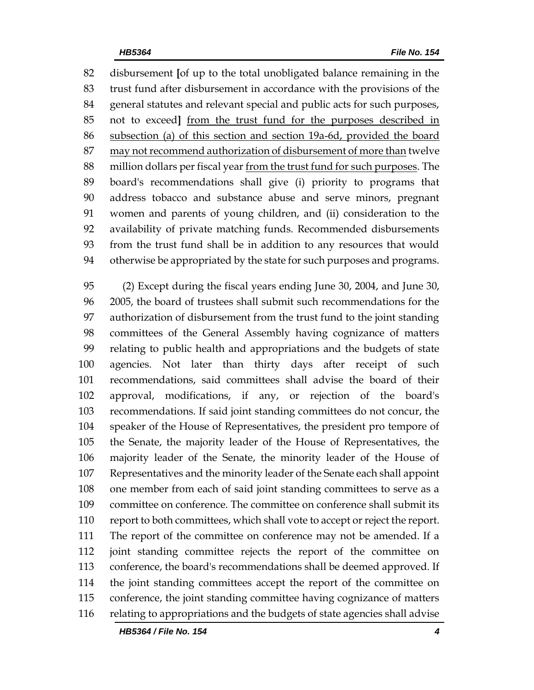disbursement **[**of up to the total unobligated balance remaining in the trust fund after disbursement in accordance with the provisions of the general statutes and relevant special and public acts for such purposes, not to exceed**]** from the trust fund for the purposes described in subsection (a) of this section and section 19a-6d, provided the board 87 may not recommend authorization of disbursement of more than twelve million dollars per fiscal year from the trust fund for such purposes. The board's recommendations shall give (i) priority to programs that address tobacco and substance abuse and serve minors, pregnant women and parents of young children, and (ii) consideration to the availability of private matching funds. Recommended disbursements from the trust fund shall be in addition to any resources that would otherwise be appropriated by the state for such purposes and programs.

 (2) Except during the fiscal years ending June 30, 2004, and June 30, 2005, the board of trustees shall submit such recommendations for the authorization of disbursement from the trust fund to the joint standing committees of the General Assembly having cognizance of matters relating to public health and appropriations and the budgets of state agencies. Not later than thirty days after receipt of such recommendations, said committees shall advise the board of their approval, modifications, if any, or rejection of the board's recommendations. If said joint standing committees do not concur, the speaker of the House of Representatives, the president pro tempore of the Senate, the majority leader of the House of Representatives, the majority leader of the Senate, the minority leader of the House of Representatives and the minority leader of the Senate each shall appoint one member from each of said joint standing committees to serve as a committee on conference. The committee on conference shall submit its report to both committees, which shall vote to accept or reject the report. The report of the committee on conference may not be amended. If a joint standing committee rejects the report of the committee on conference, the board's recommendations shall be deemed approved. If the joint standing committees accept the report of the committee on conference, the joint standing committee having cognizance of matters relating to appropriations and the budgets of state agencies shall advise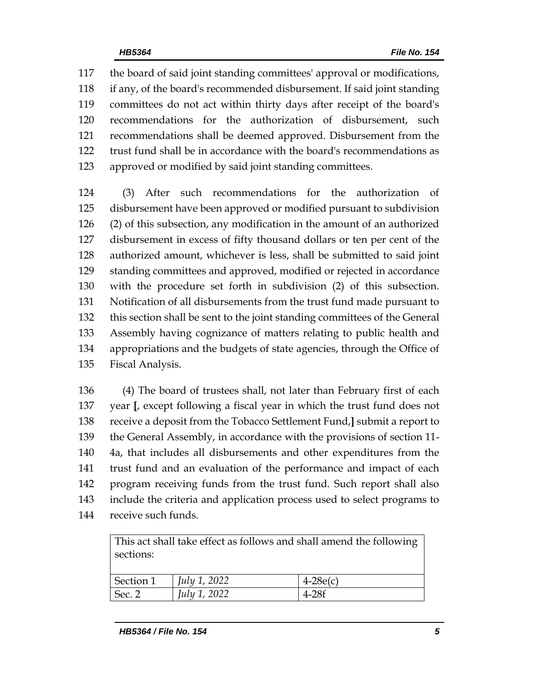the board of said joint standing committees' approval or modifications, if any, of the board's recommended disbursement. If said joint standing committees do not act within thirty days after receipt of the board's recommendations for the authorization of disbursement, such recommendations shall be deemed approved. Disbursement from the trust fund shall be in accordance with the board's recommendations as approved or modified by said joint standing committees.

 (3) After such recommendations for the authorization of disbursement have been approved or modified pursuant to subdivision (2) of this subsection, any modification in the amount of an authorized disbursement in excess of fifty thousand dollars or ten per cent of the authorized amount, whichever is less, shall be submitted to said joint standing committees and approved, modified or rejected in accordance with the procedure set forth in subdivision (2) of this subsection. Notification of all disbursements from the trust fund made pursuant to this section shall be sent to the joint standing committees of the General Assembly having cognizance of matters relating to public health and appropriations and the budgets of state agencies, through the Office of Fiscal Analysis.

 (4) The board of trustees shall, not later than February first of each year **[**, except following a fiscal year in which the trust fund does not receive a deposit from the Tobacco Settlement Fund,**]** submit a report to the General Assembly, in accordance with the provisions of section 11- 4a, that includes all disbursements and other expenditures from the trust fund and an evaluation of the performance and impact of each program receiving funds from the trust fund. Such report shall also include the criteria and application process used to select programs to receive such funds.

| This act shall take effect as follows and shall amend the following |                     |            |  |  |  |
|---------------------------------------------------------------------|---------------------|------------|--|--|--|
| sections:                                                           |                     |            |  |  |  |
|                                                                     |                     |            |  |  |  |
| Section 1                                                           | July 1, 2022        | $4-28e(c)$ |  |  |  |
| Sec. 2                                                              | <i>July 1, 2022</i> | $4-28f$    |  |  |  |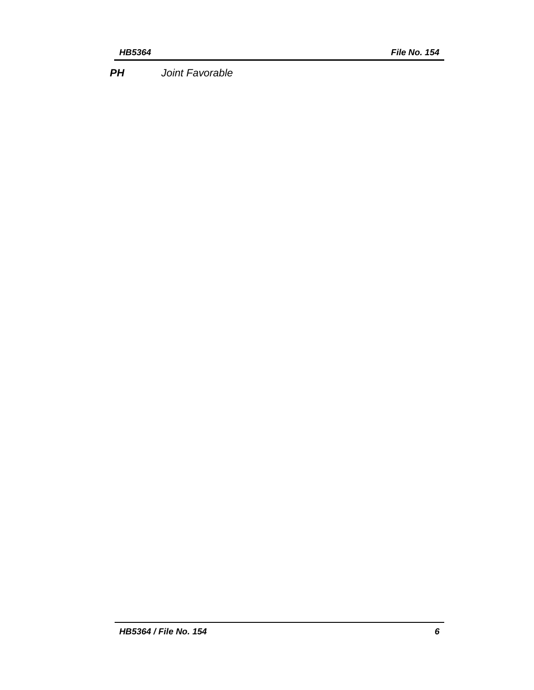*PH Joint Favorable*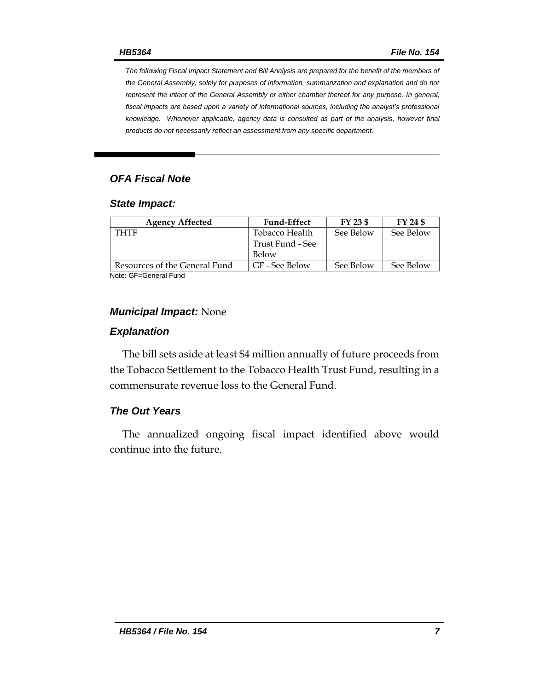*The following Fiscal Impact Statement and Bill Analysis are prepared for the benefit of the members of the General Assembly, solely for purposes of information, summarization and explanation and do not represent the intent of the General Assembly or either chamber thereof for any purpose. In general, fiscal impacts are based upon a variety of informational sources, including the analyst's professional knowledge. Whenever applicable, agency data is consulted as part of the analysis, however final products do not necessarily reflect an assessment from any specific department.*

# *OFA Fiscal Note*

#### *State Impact:*

| <b>Agency Affected</b>        | <b>Fund-Effect</b> | FY 23 \$  | FY 24 \$  |
|-------------------------------|--------------------|-----------|-----------|
| <b>THTF</b>                   | Tobacco Health     | See Below | See Below |
|                               | Trust Fund - See   |           |           |
|                               | Below              |           |           |
| Resources of the General Fund | GF - See Below     | See Below | See Below |
| .                             |                    |           |           |

Note: GF=General Fund

#### *Municipal Impact:* None

#### *Explanation*

The bill sets aside at least \$4 million annually of future proceeds from the Tobacco Settlement to the Tobacco Health Trust Fund, resulting in a commensurate revenue loss to the General Fund.

#### *The Out Years*

The annualized ongoing fiscal impact identified above would continue into the future.